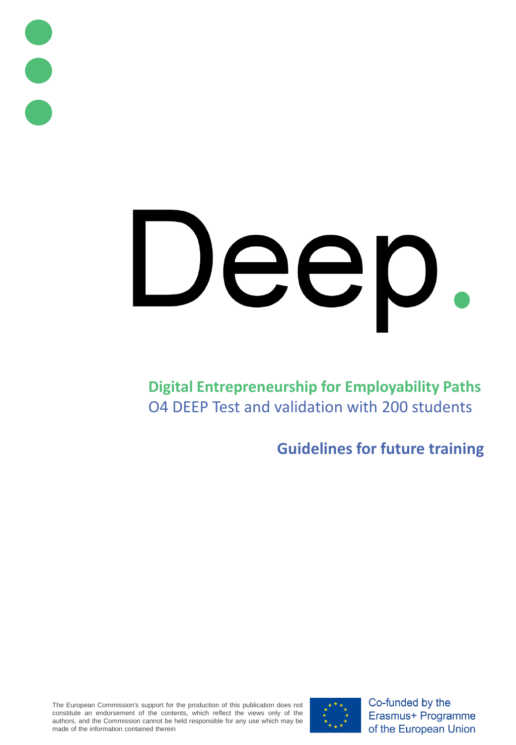

# Dep

**Digital Entrepreneurship for Employability Paths** O4 DEEP Test and validation with 200 students

**Guidelines for future training**

The European Commission's support for the production of this publication does not constitute an endorsement of the contents, which reflect the views only of the authors, and the Commission cannot be held responsible for any use which may be made of the information contained therein



Co-funded by the Erasmus+ Programme of the European Union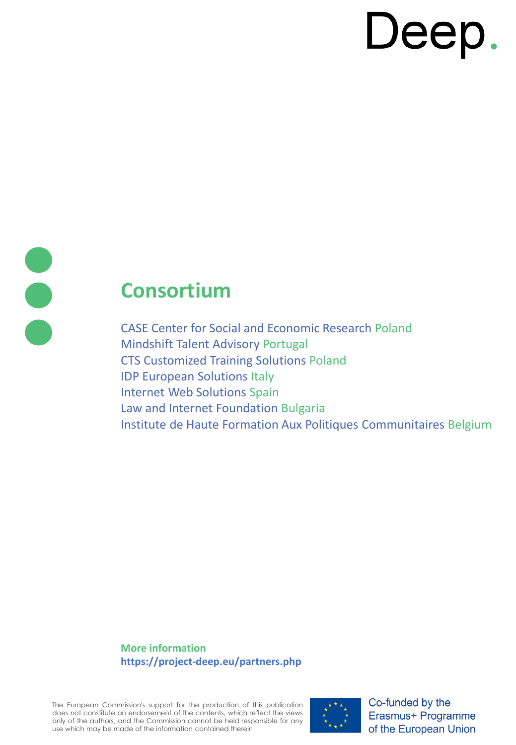# **Consortium**

CASE Center for Social and Economic Research Poland Mindshift Talent Advisory Portugal CTS Customized Training Solutions Poland IDP European Solutions Italy Internet Web Solutions Spain Law and Internet Foundation Bulgaria Institute de Haute Formation Aux Politiques Communitaires Belgium

**More information https://project-deep.eu/partners.php**

The European Commission's support for the production of this publication does not constitute an endorsement of the contents, which reflect the views only of the authors, and the Commission cannot be held responsible for any use which may be made of the information contained therein



Co-funded by the Erasmus+ Programme of the European Union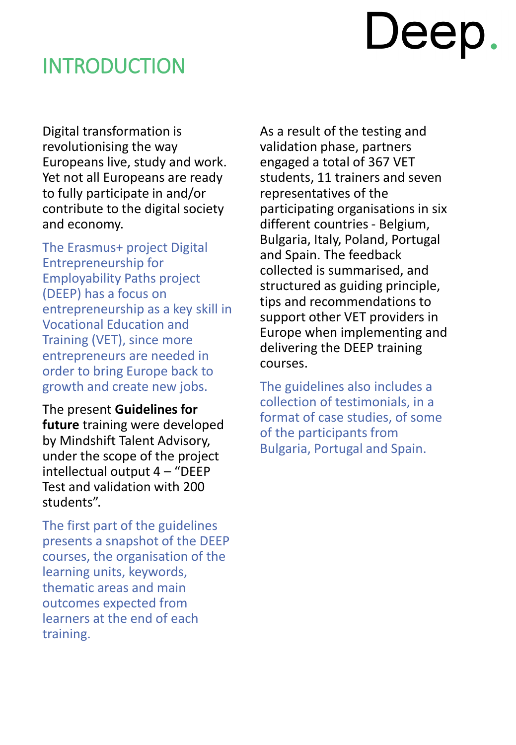### INTRODUCTION

Digital transformation is revolutionising the way Europeans live, study and work. Yet not all Europeans are ready to fully participate in and/or contribute to the digital society and economy.

The Erasmus+ project Digital Entrepreneurship for Employability Paths project (DEEP) has a focus on entrepreneurship as a key skill in Vocational Education and Training (VET), since more entrepreneurs are needed in order to bring Europe back to growth and create new jobs.

The present **Guidelines for future** training were developed by Mindshift Talent Advisory, under the scope of the project intellectual output 4 – "DEEP Test and validation with 200 students".

The first part of the guidelines presents a snapshot of the DEEP courses, the organisation of the learning units, keywords, thematic areas and main outcomes expected from learners at the end of each training.

As a result of the testing and validation phase, partners engaged a total of 367 VET students, 11 trainers and seven representatives of the participating organisations in six different countries - Belgium, Bulgaria, Italy, Poland, Portugal and Spain. The feedback collected is summarised, and structured as guiding principle, tips and recommendations to support other VET providers in Europe when implementing and delivering the DEEP training courses.

The guidelines also includes a collection of testimonials, in a format of case studies, of some of the participants from Bulgaria, Portugal and Spain.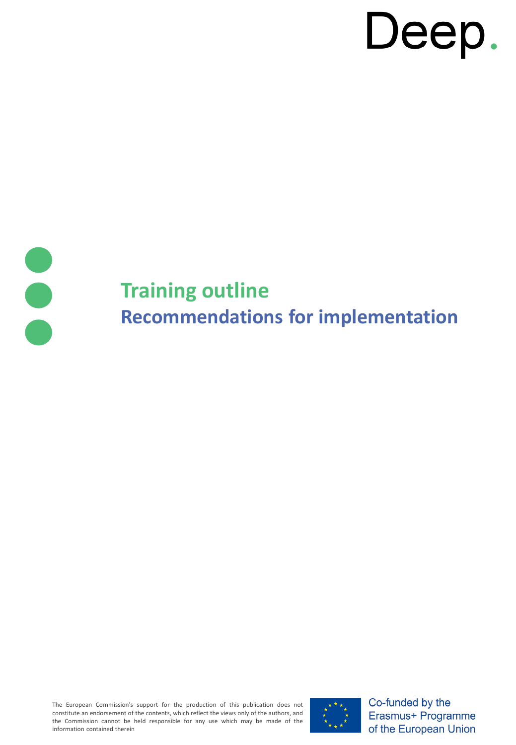

# **Training outline Recommendations for implementation**

The European Commission's support for the production of this publication does not constitute an endorsement of the contents, which reflect the views only of the authors, and the Commission cannot be held responsible for any use which may be made of the information contained therein



Co-funded by the Erasmus+ Programme of the European Union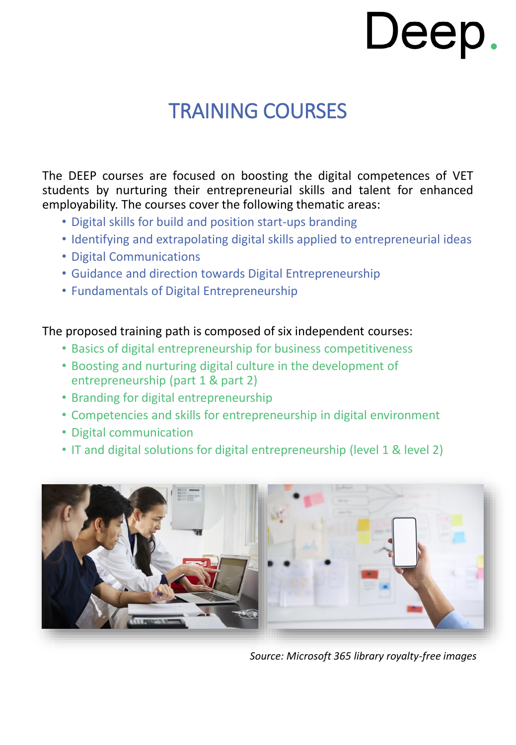# TRAINING COURSES

The DEEP courses are focused on boosting the digital competences of VET students by nurturing their entrepreneurial skills and talent for enhanced employability. The courses cover the following thematic areas:

- Digital skills for build and position start-ups branding
- Identifying and extrapolating digital skills applied to entrepreneurial ideas
- Digital Communications
- Guidance and direction towards Digital Entrepreneurship
- Fundamentals of Digital Entrepreneurship

### The proposed training path is composed of six independent courses:

- Basics of digital entrepreneurship for business competitiveness
- Boosting and nurturing digital culture in the development of entrepreneurship (part 1 & part 2)
- Branding for digital entrepreneurship
- Competencies and skills for entrepreneurship in digital environment
- Digital communication
- IT and digital solutions for digital entrepreneurship (level 1 & level 2)



*Source: Microsoft 365 library royalty-free images*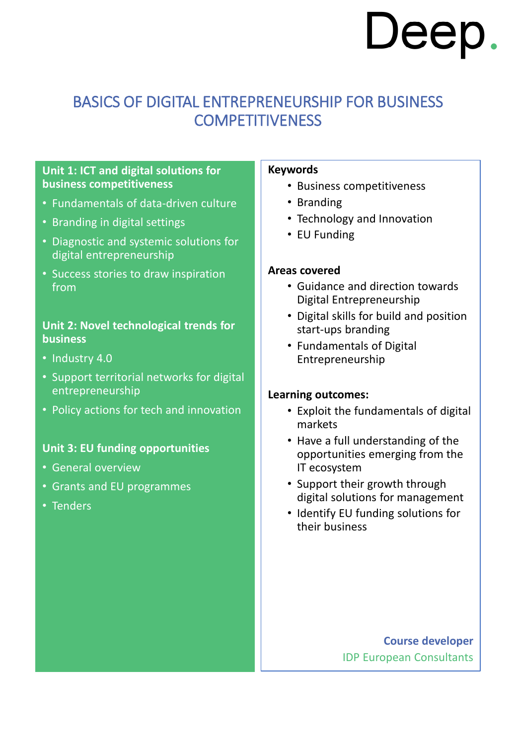### BASICS OF DIGITAL ENTREPRENEURSHIP FOR BUSINESS **COMPETITIVENESS**

### **Unit 1: ICT and digital solutions for business competitiveness**

- Fundamentals of data-driven culture
- Branding in digital settings
- Diagnostic and systemic solutions for digital entrepreneurship
- Success stories to draw inspiration from

### **Unit 2: Novel technological trends for business**

- Industry 4.0
- Support territorial networks for digital entrepreneurship
- Policy actions for tech and innovation

### **Unit 3: EU funding opportunities**

- General overview
- Grants and EU programmes
- Tenders

### **Keywords**

- Business competitiveness
- Branding
- Technology and Innovation
- EU Funding

### **Areas covered**

- Guidance and direction towards Digital Entrepreneurship
- Digital skills for build and position start-ups branding
- Fundamentals of Digital Entrepreneurship

### **Learning outcomes:**

- Exploit the fundamentals of digital markets
- Have a full understanding of the opportunities emerging from the IT ecosystem
- Support their growth through digital solutions for management
- Identify EU funding solutions for their business

**Course developer** IDP European Consultants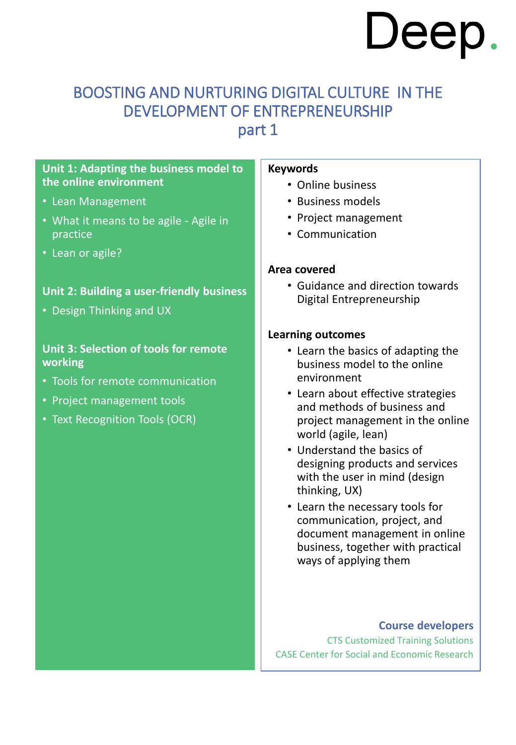### BOOSTING AND NURTURING DIGITAL CULTURE IN THE DEVELOPMENT OF ENTREPRENEURSHIP

part 1

### **Unit 1: Adapting the business model to the online environment**

- Lean Management
- What it means to be agile Agile in practice
- Lean or agile?

### **Unit 2: Building a user-friendly business**

• Design Thinking and UX

### **Unit 3: Selection of tools for remote working**

- Tools for remote communication
- Project management tools
- Text Recognition Tools (OCR)

### **Keywords**

- Online business
- Business models
- Project management
- Communication

### **Area covered**

• Guidance and direction towards Digital Entrepreneurship

### **Learning outcomes**

- Learn the basics of adapting the business model to the online environment
- Learn about effective strategies and methods of business and project management in the online world (agile, lean)
- Understand the basics of designing products and services with the user in mind (design thinking, UX)
- Learn the necessary tools for communication, project, and document management in online business, together with practical ways of applying them

### **Course developers**

CTS Customized Training Solutions CASE Center for Social and Economic Research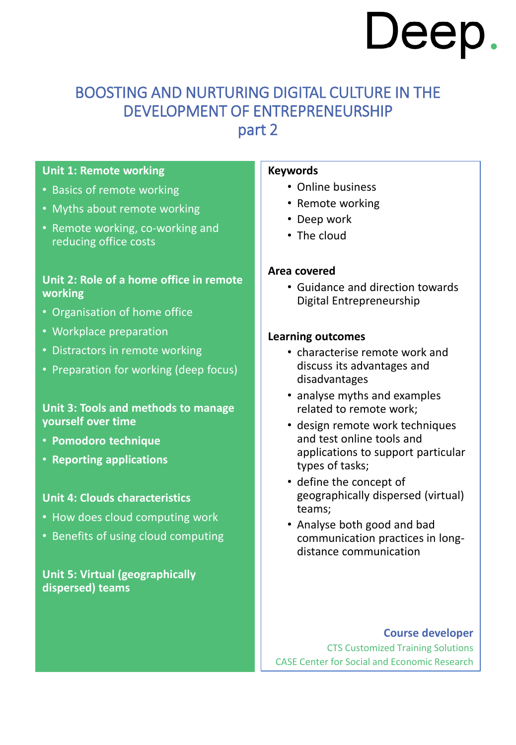### BOOSTING AND NURTURING DIGITAL CULTURE IN THE DEVELOPMENT OF ENTREPRENEURSHIP

part 2

### **Unit 1: Remote working**

- Basics of remote working
- Myths about remote working
- Remote working, co-working and reducing office costs

### **Unit 2: Role of a home office in remote working**

- Organisation of home office
- Workplace preparation
- Distractors in remote working
- Preparation for working (deep focus)

### **Unit 3: Tools and methods to manage yourself over time**

- **Pomodoro technique**
- **Reporting applications**

### **Unit 4: Clouds characteristics**

- How does cloud computing work
- Benefits of using cloud computing

### **Unit 5: Virtual (geographically dispersed) teams**

### **Keywords**

- Online business
- Remote working
- Deep work
- The cloud

### **Area covered**

• Guidance and direction towards Digital Entrepreneurship

### **Learning outcomes**

- characterise remote work and discuss its advantages and disadvantages
- analyse myths and examples related to remote work;
- design remote work techniques and test online tools and applications to support particular types of tasks;
- define the concept of geographically dispersed (virtual) teams;
- Analyse both good and bad communication practices in longdistance communication

### **Course developer**

CTS Customized Training Solutions CASE Center for Social and Economic Research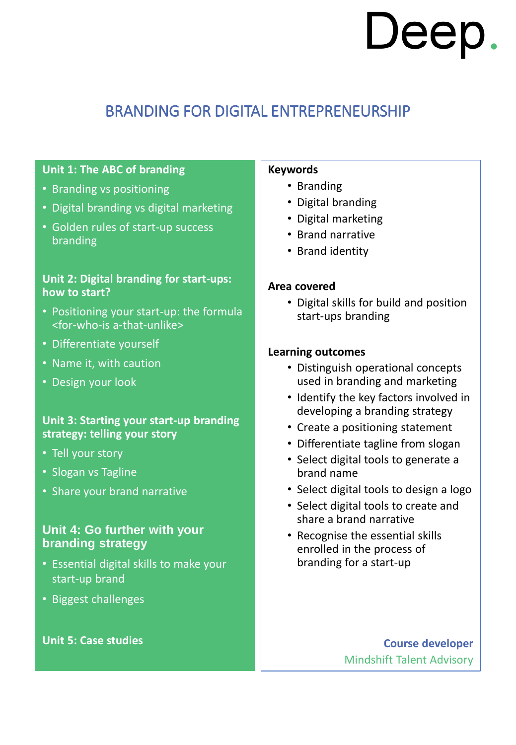### BRANDING FOR DIGITAL ENTREPRENEURSHIP

### **Unit 1: The ABC of branding**

- Branding vs positioning
- Digital branding vs digital marketing
- Golden rules of start-up success branding

### **Unit 2: Digital branding for start-ups: how to start?**

- Positioning your start-up: the formula <for-who-is a-that-unlike>
- Differentiate yourself
- Name it, with caution
- Design your look

### **Unit 3: Starting your start-up branding strategy: telling your story**

- Tell your story
- Slogan vs Tagline
- Share your brand narrative

### **Unit 4: Go further with your branding strategy**

- Essential digital skills to make your start-up brand
- Biggest challenges

### **Unit 5: Case studies**

#### **Keywords**

- Branding
- Digital branding
- Digital marketing
- Brand narrative
- Brand identity

### **Area covered**

• Digital skills for build and position start-ups branding

### **Learning outcomes**

- Distinguish operational concepts used in branding and marketing
- Identify the key factors involved in developing a branding strategy
- Create a positioning statement
- Differentiate tagline from slogan
- Select digital tools to generate a brand name
- Select digital tools to design a logo
- Select digital tools to create and share a brand narrative
- Recognise the essential skills enrolled in the process of branding for a start-up

**Course developer** Mindshift Talent Advisory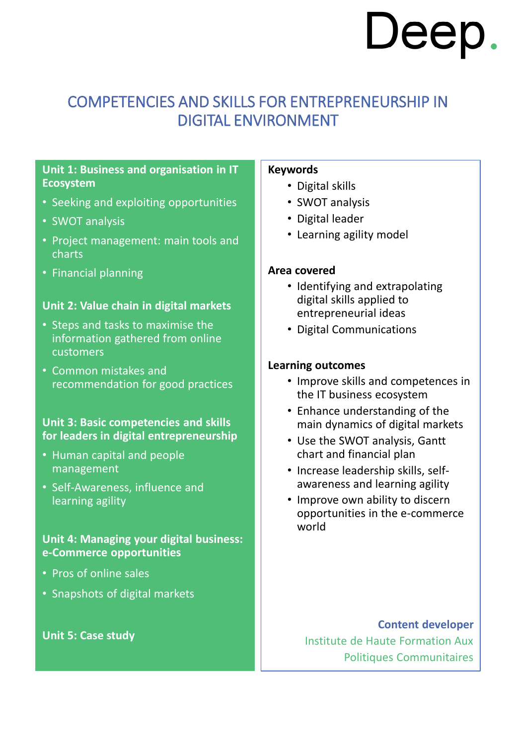### COMPETENCIES AND SKILLS FOR ENTREPRENEURSHIP IN DIGITAL ENVIRONMENT

### **Unit 1: Business and organisation in IT Ecosystem**

- Seeking and exploiting opportunities
- SWOT analysis
- Project management: main tools and charts
- Financial planning

### **Unit 2: Value chain in digital markets**

- Steps and tasks to maximise the information gathered from online customers
- Common mistakes and recommendation for good practices

### **Unit 3: Basic competencies and skills for leaders in digital entrepreneurship**

- Human capital and people management
- Self-Awareness, influence and learning agility

### **Unit 4: Managing your digital business: e-Commerce opportunities**

- Pros of online sales
- Snapshots of digital markets

### **Unit 5: Case study**

#### **Keywords**

- Digital skills
- SWOT analysis
- Digital leader
- Learning agility model

### **Area covered**

- Identifying and extrapolating digital skills applied to entrepreneurial ideas
- Digital Communications

### **Learning outcomes**

- Improve skills and competences in the IT business ecosystem
- Enhance understanding of the main dynamics of digital markets
- Use the SWOT analysis, Gantt chart and financial plan
- Increase leadership skills, selfawareness and learning agility
- Improve own ability to discern opportunities in the e-commerce world

**Content developer** Institute de Haute Formation Aux Politiques Communitaires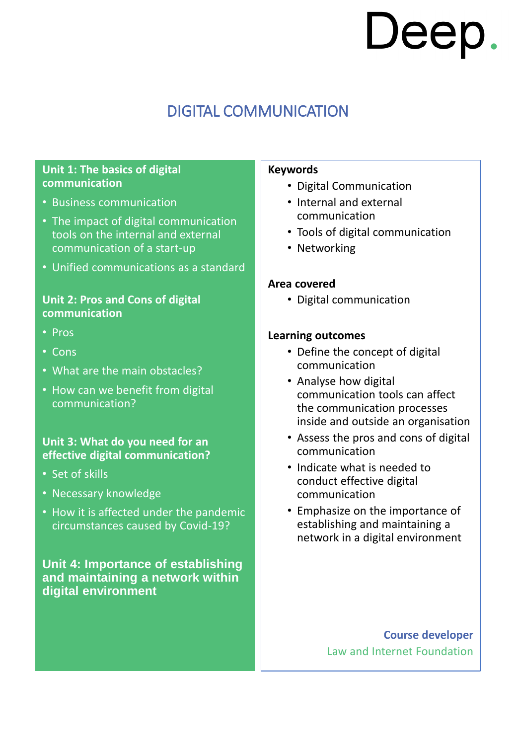### DIGITAL COMMUNICATION

### **Unit 1: The basics of digital communication**

- Business communication
- The impact of digital communication tools on the internal and external communication of a start-up
- Unified communications as a standard

### **Unit 2: Pros and Cons of digital communication**

- Pros
- Cons
- What are the main obstacles?
- How can we benefit from digital communication?

### **Unit 3: What do you need for an effective digital communication?**

- Set of skills
- Necessary knowledge
- How it is affected under the pandemic circumstances caused by Covid-19?

### **Unit 4: Importance of establishing and maintaining a network within digital environment**

#### **Keywords**

- Digital Communication
- Internal and external communication
- Tools of digital communication
- Networking

#### **Area covered**

• Digital communication

#### **Learning outcomes**

- Define the concept of digital communication
- Analyse how digital communication tools can affect the communication processes inside and outside an organisation
- Assess the pros and cons of digital communication
- Indicate what is needed to conduct effective digital communication
- Emphasize on the importance of establishing and maintaining a network in a digital environment

**Course developer** Law and Internet Foundation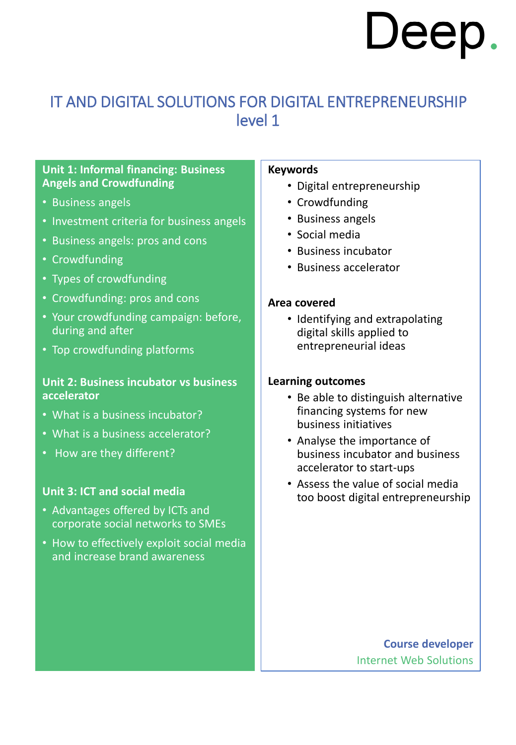### IT AND DIGITAL SOLUTIONS FOR DIGITAL ENTREPRENEURSHIP level 1

### **Unit 1: Informal financing: Business Angels and Crowdfunding**

- Business angels
- Investment criteria for business angels
- Business angels: pros and cons
- Crowdfunding
- Types of crowdfunding
- Crowdfunding: pros and cons
- Your crowdfunding campaign: before, during and after
- Top crowdfunding platforms

### **Unit 2: Business incubator vs business accelerator**

- What is a business incubator?
- What is a business accelerator?
- How are they different?

### **Unit 3: ICT and social media**

- Advantages offered by ICTs and corporate social networks to SMEs
- How to effectively exploit social media and increase brand awareness

#### **Keywords**

- Digital entrepreneurship
- Crowdfunding
- Business angels
- Social media
- Business incubator
- Business accelerator

#### **Area covered**

• Identifying and extrapolating digital skills applied to entrepreneurial ideas

#### **Learning outcomes**

- Be able to distinguish alternative financing systems for new business initiatives
- Analyse the importance of business incubator and business accelerator to start-ups
- Assess the value of social media too boost digital entrepreneurship

**Course developer** Internet Web Solutions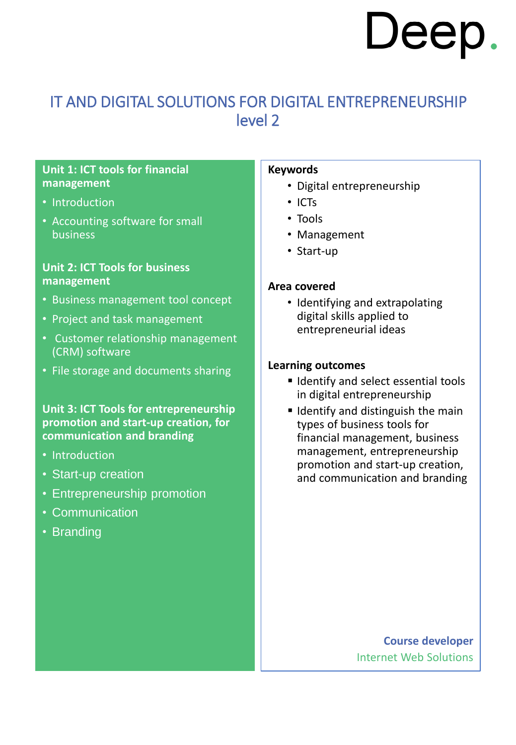### IT AND DIGITAL SOLUTIONS FOR DIGITAL ENTREPRENEURSHIP level 2

### **Unit 1: ICT tools for financial management**

- Introduction
- Accounting software for small **business**

### **Unit 2: ICT Tools for business management**

- Business management tool concept
- Project and task management
- Customer relationship management (CRM) software
- File storage and documents sharing

### **Unit 3: ICT Tools for entrepreneurship promotion and start-up creation, for communication and branding**

- Introduction
- Start-up creation
- Entrepreneurship promotion
- Communication
- Branding

#### **Keywords**

- Digital entrepreneurship
- ICTs
- Tools
- Management
- Start-up

### **Area covered**

• Identifying and extrapolating digital skills applied to entrepreneurial ideas

### **Learning outcomes**

- **If Identify and select essential tools** in digital entrepreneurship
- $\blacksquare$  Identify and distinguish the main types of business tools for financial management, business management, entrepreneurship promotion and start-up creation, and communication and branding

**Course developer** Internet Web Solutions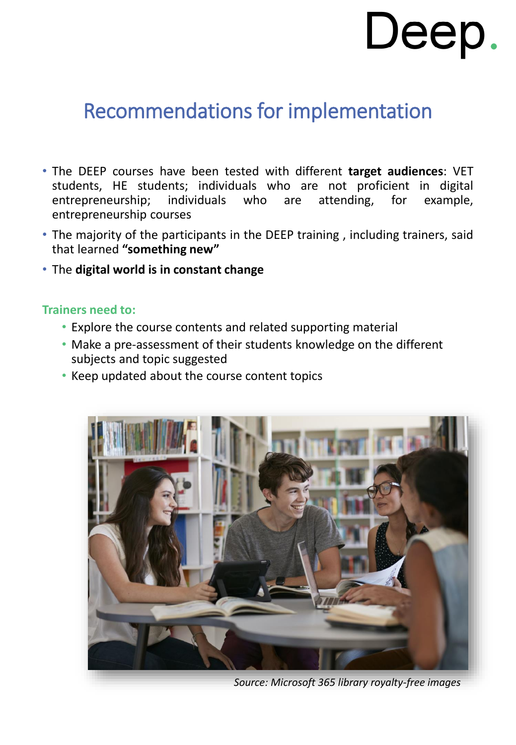### Recommendations for implementation

- The DEEP courses have been tested with different **target audiences**: VET students, HE students; individuals who are not proficient in digital entrepreneurship; individuals who are attending, for example, entrepreneurship courses
- The majority of the participants in the DEEP training , including trainers, said that learned **"something new"**
- The **digital world is in constant change**

### **Trainers need to:**

- Explore the course contents and related supporting material
- Make a pre-assessment of their students knowledge on the different subjects and topic suggested
- Keep updated about the course content topics



*Source: Microsoft 365 library royalty-free images*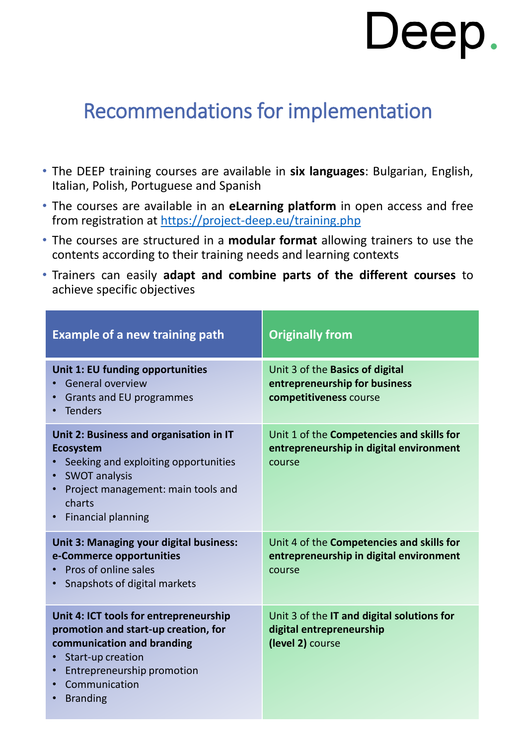## Recommendations for implementation

- The DEEP training courses are available in **six languages**: Bulgarian, English, Italian, Polish, Portuguese and Spanish
- The courses are available in an **eLearning platform** in open access and free from registration at <https://project-deep.eu/training.php>
- The courses are structured in a **modular format** allowing trainers to use the contents according to their training needs and learning contexts
- Trainers can easily **adapt and combine parts of the different courses** to achieve specific objectives

| <b>Example of a new training path</b>                                                                                                                                                                    | <b>Originally from</b>                                                                         |
|----------------------------------------------------------------------------------------------------------------------------------------------------------------------------------------------------------|------------------------------------------------------------------------------------------------|
| Unit 1: EU funding opportunities<br><b>General overview</b><br>Grants and EU programmes<br>• Tenders                                                                                                     | Unit 3 of the Basics of digital<br>entrepreneurship for business<br>competitiveness course     |
| Unit 2: Business and organisation in IT<br><b>Ecosystem</b><br>Seeking and exploiting opportunities<br><b>SWOT analysis</b><br>Project management: main tools and<br>charts<br><b>Financial planning</b> | Unit 1 of the Competencies and skills for<br>entrepreneurship in digital environment<br>course |
| Unit 3: Managing your digital business:<br>e-Commerce opportunities<br>Pros of online sales<br>Snapshots of digital markets                                                                              | Unit 4 of the Competencies and skills for<br>entrepreneurship in digital environment<br>course |
| Unit 4: ICT tools for entrepreneurship<br>promotion and start-up creation, for<br>communication and branding<br>Start-up creation<br>Entrepreneurship promotion<br>Communication<br><b>Branding</b>      | Unit 3 of the IT and digital solutions for<br>digital entrepreneurship<br>(level 2) course     |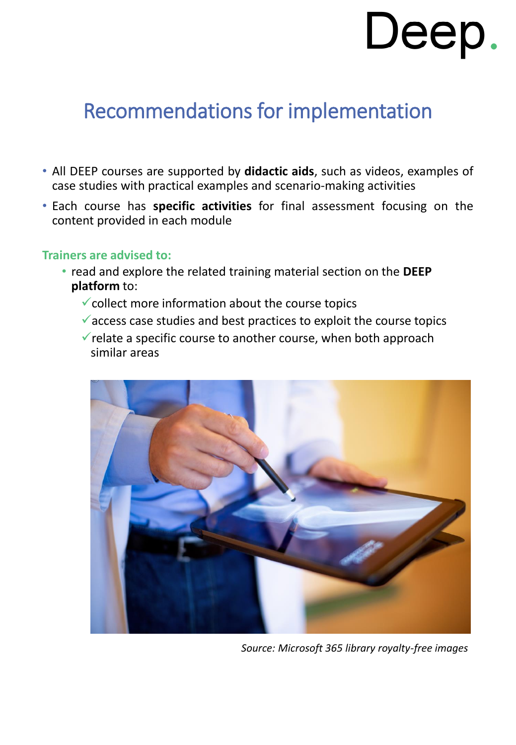## Recommendations for implementation

- All DEEP courses are supported by **didactic aids**, such as videos, examples of case studies with practical examples and scenario-making activities
- Each course has **specific activities** for final assessment focusing on the content provided in each module

### **Trainers are advised to:**

- read and explore the related training material section on the **DEEP platform** to:
	- $\checkmark$  collect more information about the course topics
	- $\checkmark$  access case studies and best practices to exploit the course topics
	- $\checkmark$  relate a specific course to another course, when both approach similar areas



*Source: Microsoft 365 library royalty-free images*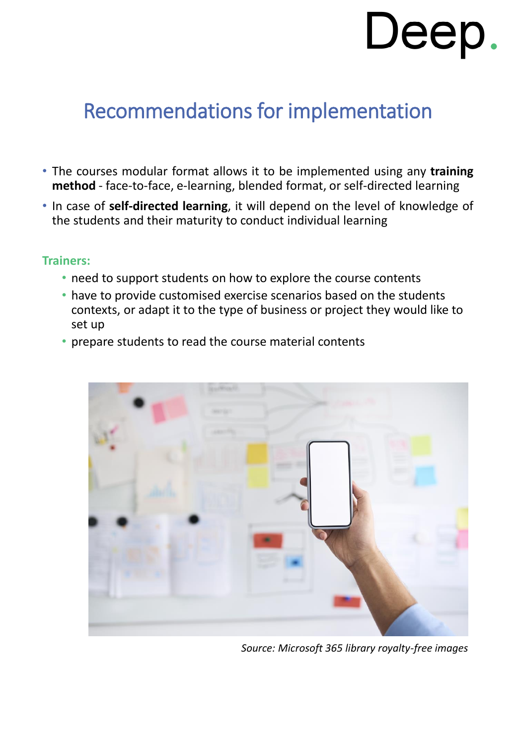# Recommendations for implementation

- The courses modular format allows it to be implemented using any **training method** - face-to-face, e-learning, blended format, or self-directed learning
- In case of **self-directed learning**, it will depend on the level of knowledge of the students and their maturity to conduct individual learning

### **Trainers:**

- need to support students on how to explore the course contents
- have to provide customised exercise scenarios based on the students contexts, or adapt it to the type of business or project they would like to set up
- prepare students to read the course material contents



*Source: Microsoft 365 library royalty-free images*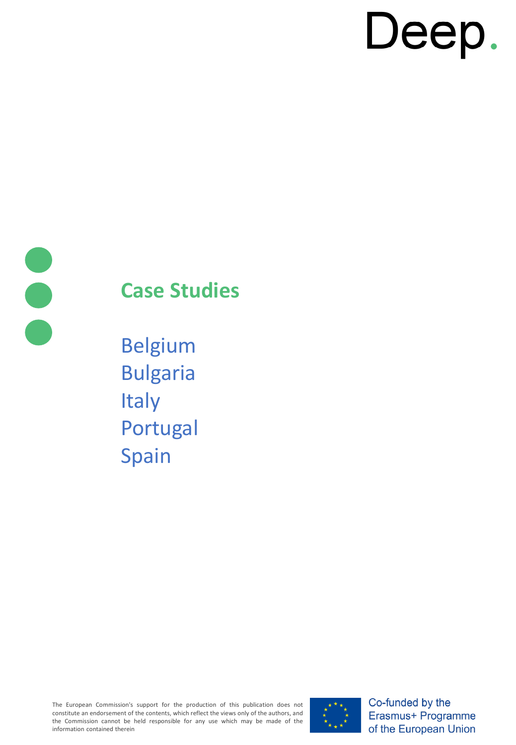

# **Case Studies**

Belgium Bulgaria **Italy** Portugal Spain

The European Commission's support for the production of this publication does not constitute an endorsement of the contents, which reflect the views only of the authors, and the Commission cannot be held responsible for any use which may be made of the information contained therein



Co-funded by the Erasmus+ Programme of the European Union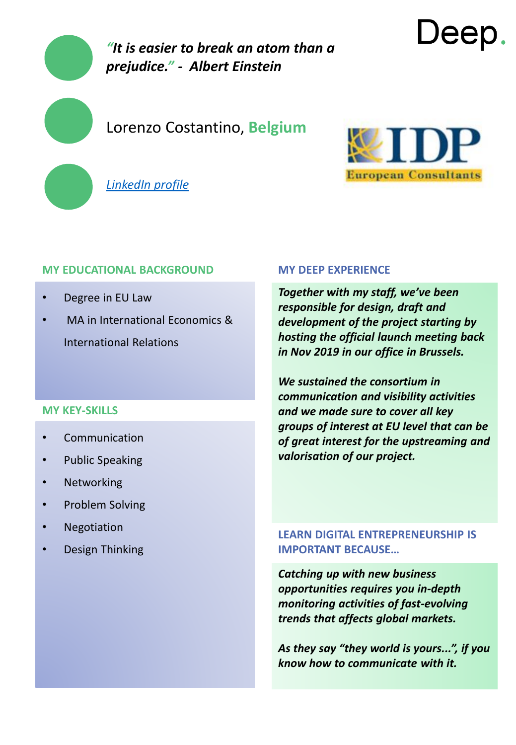

### Lorenzo Costantino, **Belgium**





Deep

### **MY EDUCATIONAL BACKGROUND**

- Degree in EU Law
- MA in International Economics & International Relations

### **MY KEY-SKILLS**

- **Communication**
- Public Speaking
- Networking
- Problem Solving
- **Negotiation**
- Design Thinking

#### **MY DEEP EXPERIENCE**

*Together with my staff, we've been responsible for design, draft and development of the project starting by hosting the official launch meeting back in Nov 2019 in our office in Brussels.* 

*We sustained the consortium in communication and visibility activities and we made sure to cover all key groups of interest at EU level that can be of great interest for the upstreaming and valorisation of our project.*

### **LEARN DIGITAL ENTREPRENEURSHIP IS IMPORTANT BECAUSE…**

*Catching up with new business opportunities requires you in-depth monitoring activities of fast-evolving trends that affects global markets.* 

*As they say "they world is yours...", if you know how to communicate with it.*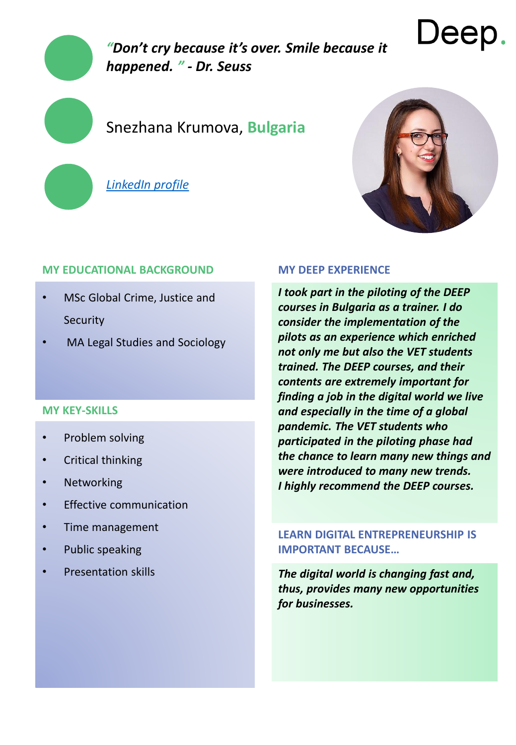

*"Don't cry because it's over. Smile because it happened. " - Dr. Seuss*

### Snezhana Krumova, **Bulgaria**

*[LinkedIn profile](https://bg.linkedin.com/in/snezhana-krumova)*



### **MY EDUCATIONAL BACKGROUND**

- MSc Global Crime, Justice and **Security**
- MA Legal Studies and Sociology

### **MY KEY-SKILLS**

- Problem solving
- Critical thinking
- Networking
- **Effective communication**
- Time management
- Public speaking
- Presentation skills

#### **MY DEEP EXPERIENCE**

*I took part in the piloting of the DEEP courses in Bulgaria as а trainer. I do consider the implementation of the pilots as an experience which enriched not only me but also the VET students trained. The DEEP courses, and their contents are extremely important for finding a job in the digital world we live and especially in the time of a global pandemic. The VET students who participated in the piloting phase had the chance to learn many new things and were introduced to many new trends. I highly recommend the DEEP courses.* 

### **LEARN DIGITAL ENTREPRENEURSHIP IS IMPORTANT BECAUSE…**

*The digital world is changing fast and, thus, provides many new opportunities for businesses.*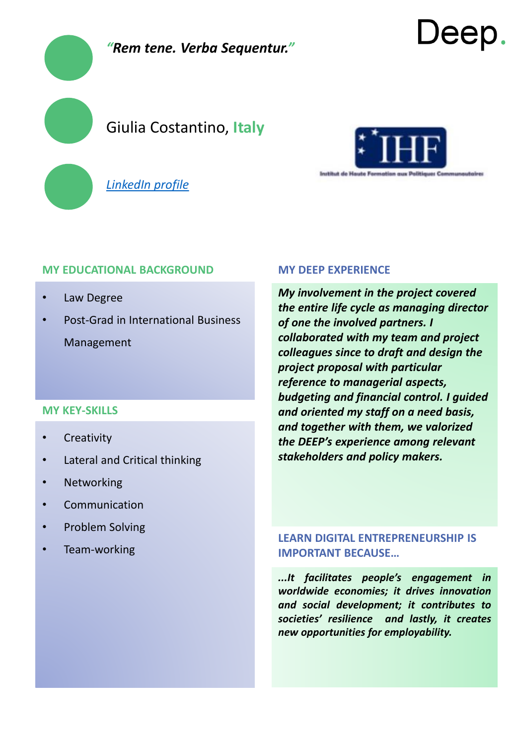

*[LinkedIn profile](https://bg.linkedin.com/in/snezhana-krumova)*



Jeep

### **MY EDUCATIONAL BACKGROUND**

- Law Degree
- Post-Grad in International Business Management

### **MY KEY-SKILLS**

- Creativity
- Lateral and Critical thinking
- **Networking**
- **Communication**
- Problem Solving
- Team-working

#### **MY DEEP EXPERIENCE**

*My involvement in the project covered the entire life cycle as managing director of one the involved partners. I collaborated with my team and project colleagues since to draft and design the project proposal with particular reference to managerial aspects, budgeting and financial control. I guided and oriented my staff on a need basis, and together with them, we valorized the DEEP's experience among relevant stakeholders and policy makers.*

### **LEARN DIGITAL ENTREPRENEURSHIP IS IMPORTANT BECAUSE…**

*...It facilitates people's engagement in worldwide economies; it drives innovation and social development; it contributes to societies' resilience and lastly, it creates new opportunities for employability.*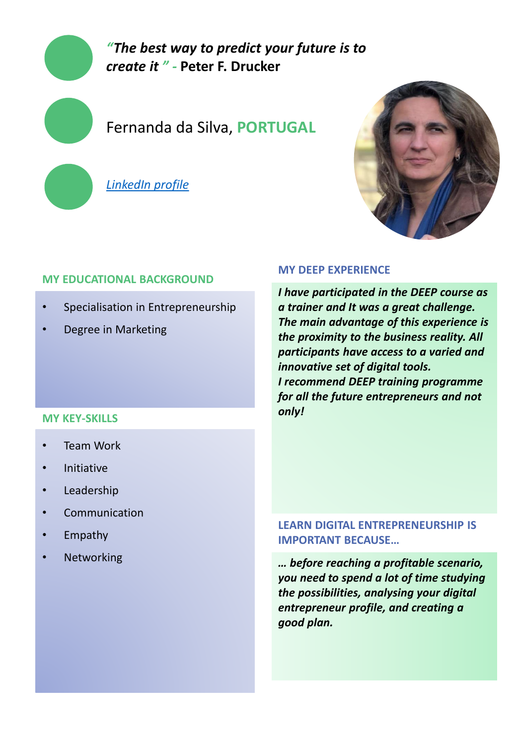

### Fernanda da Silva, **PORTUGAL**

*[LinkedIn profile](http://www.linkedin.com/in/fernandamlsilva/)*



### **MY EDUCATIONAL BACKGROUND**

- Specialisation in Entrepreneurship
- Degree in Marketing

### **MY KEY-SKILLS**

- **Team Work**
- **Initiative**
- **Leadership**
- **Communication**
- Empathy
- **Networking**

### **MY DEEP EXPERIENCE**

*I have participated in the DEEP course as a trainer and It was a great challenge. The main advantage of this experience is the proximity to the business reality. All participants have access to a varied and innovative set of digital tools. I recommend DEEP training programme for all the future entrepreneurs and not only!*

### **LEARN DIGITAL ENTREPRENEURSHIP IS IMPORTANT BECAUSE…**

*… before reaching a profitable scenario, you need to spend a lot of time studying the possibilities, analysing your digital entrepreneur profile, and creating a good plan.*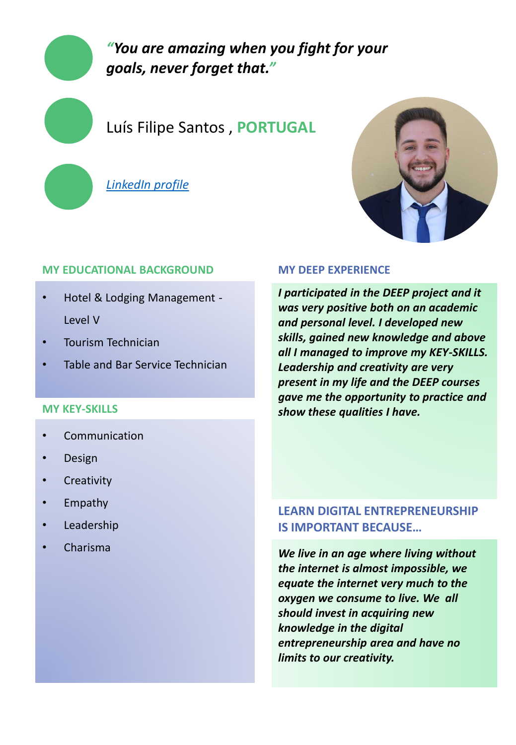### *"You are amazing when you fight for your goals, never forget that."*

### Luís Filipe Santos , **PORTUGAL**

*[LinkedIn profile](https://www.linkedin.com/in/lu%C3%ADs-filipe-santos-b8a731207/)*



### **MY EDUCATIONAL BACKGROUND**

- Hotel & Lodging Management Level V
- Tourism Technician
- Table and Bar Service Technician

### **MY KEY-SKILLS**

- **Communication**
- Design
- **Creativity**
- Empathy
- **Leadership**
- Charisma

### **MY DEEP EXPERIENCE**

*I participated in the DEEP project and it was very positive both on an academic and personal level. I developed new skills, gained new knowledge and above all I managed to improve my KEY-SKILLS. Leadership and creativity are very present in my life and the DEEP courses gave me the opportunity to practice and show these qualities I have.*

### **LEARN DIGITAL ENTREPRENEURSHIP IS IMPORTANT BECAUSE…**

*We live in an age where living without the internet is almost impossible, we equate the internet very much to the oxygen we consume to live. We all should invest in acquiring new knowledge in the digital entrepreneurship area and have no limits to our creativity.*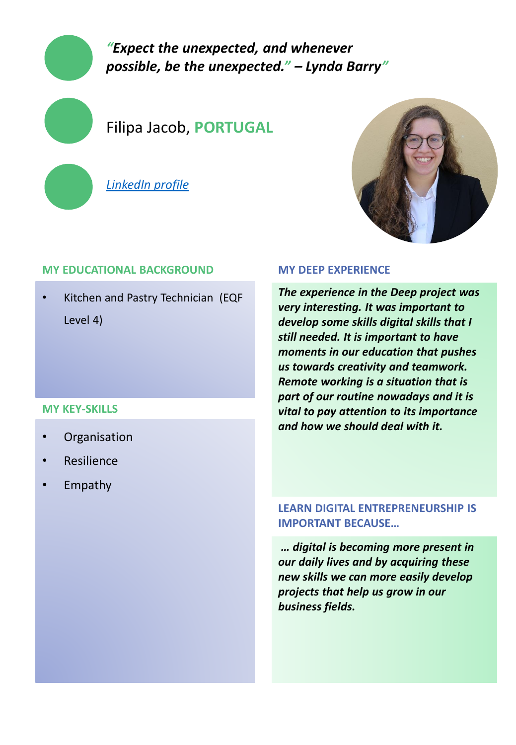### *"Expect the unexpected, and whenever possible, be the unexpected." – Lynda Barry"*

### Filipa Jacob, **PORTUGAL**

*[LinkedIn profile](https://www.linkedin.com/in/filipa-jacob-6a69821b9/)*



### **MY EDUCATIONAL BACKGROUND**

• Kitchen and Pastry Technician (EQF Level 4)

### **MY KEY-SKILLS**

- **Organisation**
- **Resilience**
- Empathy

### **MY DEEP EXPERIENCE**

*The experience in the Deep project was very interesting. It was important to develop some skills digital skills that I still needed. It is important to have moments in our education that pushes us towards creativity and teamwork. Remote working is a situation that is part of our routine nowadays and it is vital to pay attention to its importance and how we should deal with it.*

### **LEARN DIGITAL ENTREPRENEURSHIP IS IMPORTANT BECAUSE…**

*… digital is becoming more present in our daily lives and by acquiring these new skills we can more easily develop projects that help us grow in our business fields.*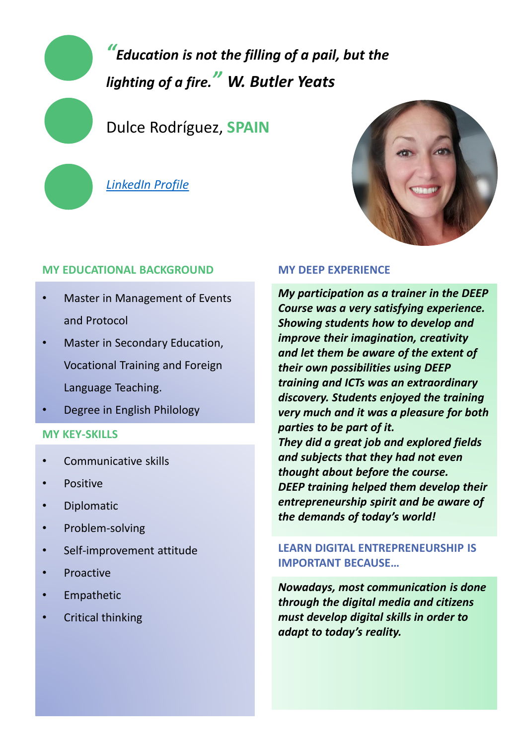*"Education is not the filling of a pail, but the lighting of a fire." W. Butler Yeats*

Dulce Rodríguez, **SPAIN**

*[LinkedIn Profile](https://www.linkedin.com/in/dulce-rodriguez-ortiz-957ba712b/)*

### **MY EDUCATIONAL BACKGROUND**

- Master in Management of Events and Protocol
- Master in Secondary Education, Vocational Training and Foreign Language Teaching.
- Degree in English Philology

### **MY KEY-SKILLS**

- Communicative skills
- Positive
- Diplomatic
- Problem-solving
- Self-improvement attitude
- **Proactive**
- **Empathetic**
- Critical thinking

### **MY DEEP EXPERIENCE**

*My participation as a trainer in the DEEP Course was a very satisfying experience. Showing students how to develop and improve their imagination, creativity and let them be aware of the extent of their own possibilities using DEEP training and ICTs was an extraordinary discovery. Students enjoyed the training very much and it was a pleasure for both parties to be part of it. They did a great job and explored fields and subjects that they had not even thought about before the course. DEEP training helped them develop their entrepreneurship spirit and be aware of the demands of today's world!*

### **LEARN DIGITAL ENTREPRENEURSHIP IS IMPORTANT BECAUSE…**

*Nowadays, most communication is done through the digital media and citizens must develop digital skills in order to adapt to today's reality.*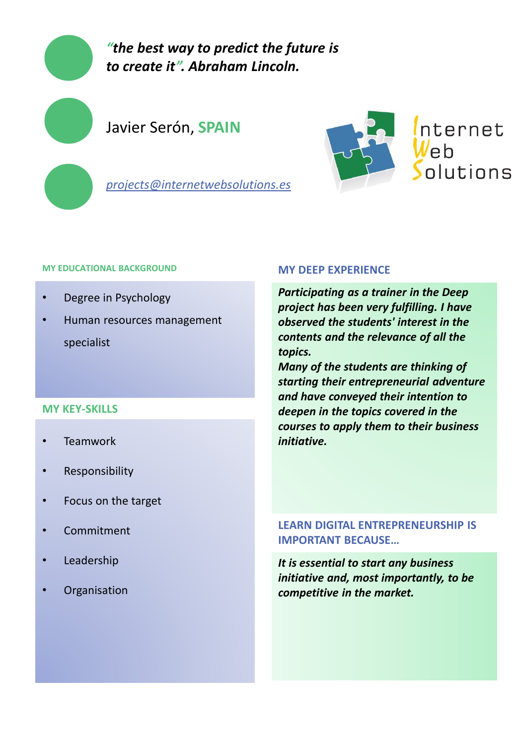

*"the best way to predict the future is to create it". Abraham Lincoln.*

### Javier Serón, **SPAIN**



*projects@internetwebsolutions.es*

#### **MY EDUCATIONAL BACKGROUND**

- Degree in Psychology
- Human resources management specialist

### **MY KEY-SKILLS**

- **Teamwork**
- **Responsibility**
- Focus on the target
- Commitment
- **Leadership**
- **Organisation**

#### **MY DEEP EXPERIENCE**

*Participating as a trainer in the Deep project has been very fulfilling. I have observed the students' interest in the contents and the relevance of all the topics.*

*Many of the students are thinking of starting their entrepreneurial adventure and have conveyed their intention to deepen in the topics covered in the courses to apply them to their business initiative.*

### **LEARN DIGITAL ENTREPRENEURSHIP IS IMPORTANT BECAUSE…**

*It is essential to start any business initiative and, most importantly, to be competitive in the market.*